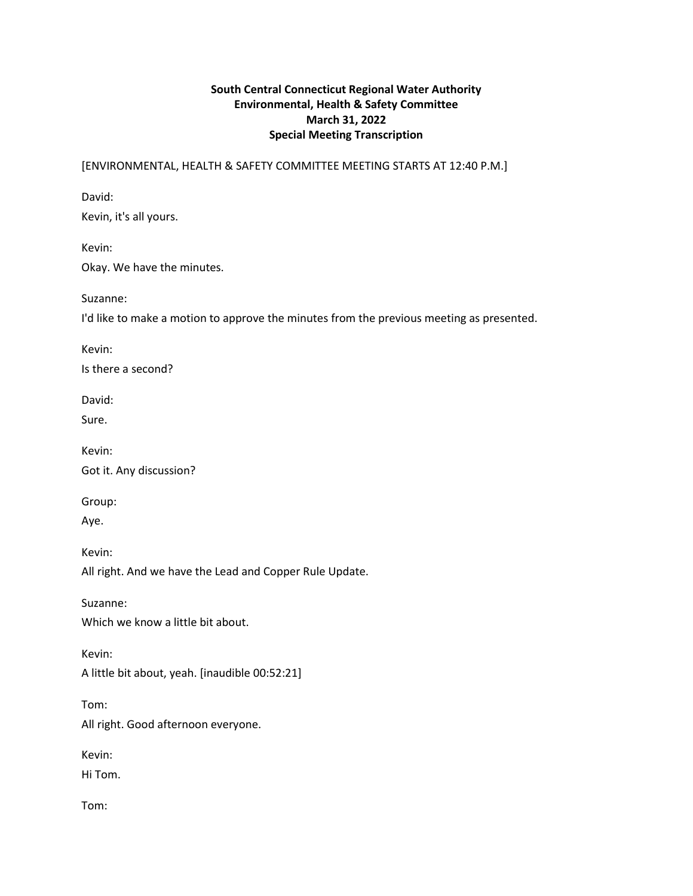# **South Central Connecticut Regional Water Authority Environmental, Health & Safety Committee March 31, 2022 Special Meeting Transcription**

[ENVIRONMENTAL, HEALTH & SAFETY COMMITTEE MEETING STARTS AT 12:40 P.M.]

David:

Kevin, it's all yours.

Kevin: Okay. We have the minutes.

Suzanne:

I'd like to make a motion to approve the minutes from the previous meeting as presented.

Kevin:

Is there a second?

David:

Sure.

Kevin: Got it. Any discussion?

Group:

Aye.

Kevin:

All right. And we have the Lead and Copper Rule Update.

Suzanne: Which we know a little bit about.

Kevin:

A little bit about, yeah. [inaudible 00:52:21]

Tom:

All right. Good afternoon everyone.

Kevin:

Hi Tom.

Tom: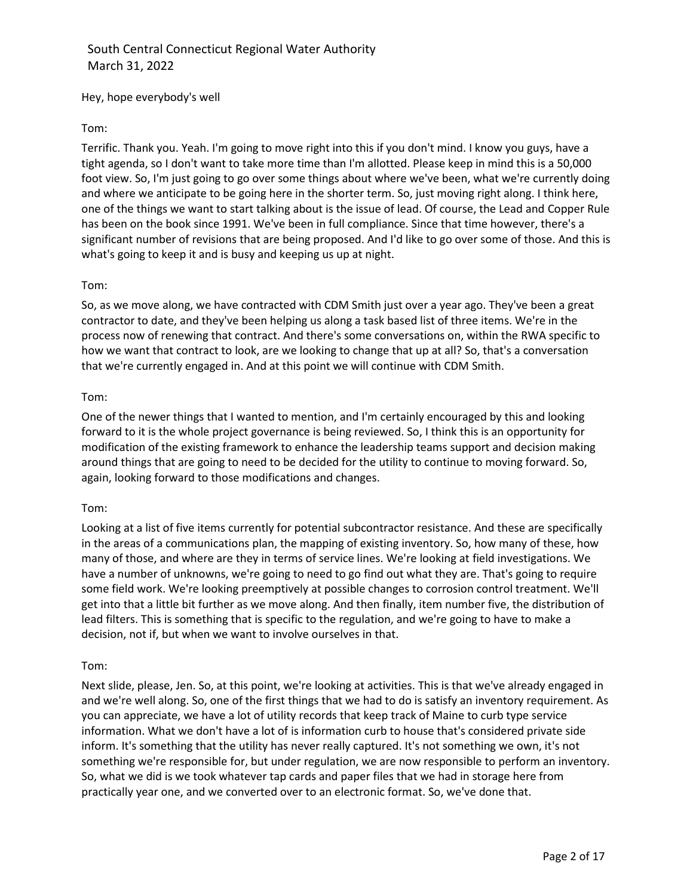Hey, hope everybody's well

## Tom:

Terrific. Thank you. Yeah. I'm going to move right into this if you don't mind. I know you guys, have a tight agenda, so I don't want to take more time than I'm allotted. Please keep in mind this is a 50,000 foot view. So, I'm just going to go over some things about where we've been, what we're currently doing and where we anticipate to be going here in the shorter term. So, just moving right along. I think here, one of the things we want to start talking about is the issue of lead. Of course, the Lead and Copper Rule has been on the book since 1991. We've been in full compliance. Since that time however, there's a significant number of revisions that are being proposed. And I'd like to go over some of those. And this is what's going to keep it and is busy and keeping us up at night.

### Tom:

So, as we move along, we have contracted with CDM Smith just over a year ago. They've been a great contractor to date, and they've been helping us along a task based list of three items. We're in the process now of renewing that contract. And there's some conversations on, within the RWA specific to how we want that contract to look, are we looking to change that up at all? So, that's a conversation that we're currently engaged in. And at this point we will continue with CDM Smith.

### Tom:

One of the newer things that I wanted to mention, and I'm certainly encouraged by this and looking forward to it is the whole project governance is being reviewed. So, I think this is an opportunity for modification of the existing framework to enhance the leadership teams support and decision making around things that are going to need to be decided for the utility to continue to moving forward. So, again, looking forward to those modifications and changes.

### Tom:

Looking at a list of five items currently for potential subcontractor resistance. And these are specifically in the areas of a communications plan, the mapping of existing inventory. So, how many of these, how many of those, and where are they in terms of service lines. We're looking at field investigations. We have a number of unknowns, we're going to need to go find out what they are. That's going to require some field work. We're looking preemptively at possible changes to corrosion control treatment. We'll get into that a little bit further as we move along. And then finally, item number five, the distribution of lead filters. This is something that is specific to the regulation, and we're going to have to make a decision, not if, but when we want to involve ourselves in that.

### Tom:

Next slide, please, Jen. So, at this point, we're looking at activities. This is that we've already engaged in and we're well along. So, one of the first things that we had to do is satisfy an inventory requirement. As you can appreciate, we have a lot of utility records that keep track of Maine to curb type service information. What we don't have a lot of is information curb to house that's considered private side inform. It's something that the utility has never really captured. It's not something we own, it's not something we're responsible for, but under regulation, we are now responsible to perform an inventory. So, what we did is we took whatever tap cards and paper files that we had in storage here from practically year one, and we converted over to an electronic format. So, we've done that.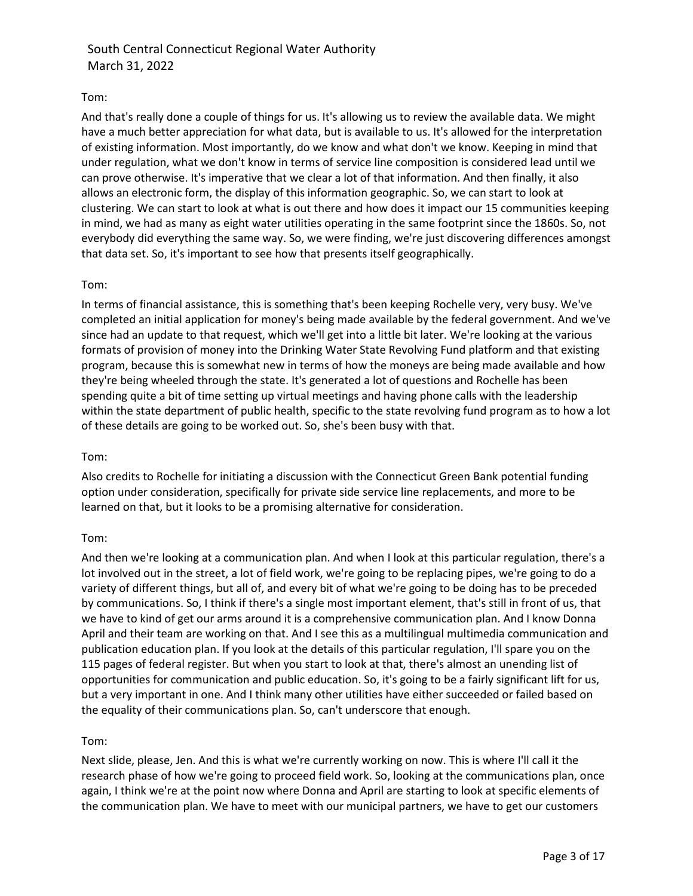## Tom:

And that's really done a couple of things for us. It's allowing us to review the available data. We might have a much better appreciation for what data, but is available to us. It's allowed for the interpretation of existing information. Most importantly, do we know and what don't we know. Keeping in mind that under regulation, what we don't know in terms of service line composition is considered lead until we can prove otherwise. It's imperative that we clear a lot of that information. And then finally, it also allows an electronic form, the display of this information geographic. So, we can start to look at clustering. We can start to look at what is out there and how does it impact our 15 communities keeping in mind, we had as many as eight water utilities operating in the same footprint since the 1860s. So, not everybody did everything the same way. So, we were finding, we're just discovering differences amongst that data set. So, it's important to see how that presents itself geographically.

## Tom:

In terms of financial assistance, this is something that's been keeping Rochelle very, very busy. We've completed an initial application for money's being made available by the federal government. And we've since had an update to that request, which we'll get into a little bit later. We're looking at the various formats of provision of money into the Drinking Water State Revolving Fund platform and that existing program, because this is somewhat new in terms of how the moneys are being made available and how they're being wheeled through the state. It's generated a lot of questions and Rochelle has been spending quite a bit of time setting up virtual meetings and having phone calls with the leadership within the state department of public health, specific to the state revolving fund program as to how a lot of these details are going to be worked out. So, she's been busy with that.

## Tom:

Also credits to Rochelle for initiating a discussion with the Connecticut Green Bank potential funding option under consideration, specifically for private side service line replacements, and more to be learned on that, but it looks to be a promising alternative for consideration.

## Tom:

And then we're looking at a communication plan. And when I look at this particular regulation, there's a lot involved out in the street, a lot of field work, we're going to be replacing pipes, we're going to do a variety of different things, but all of, and every bit of what we're going to be doing has to be preceded by communications. So, I think if there's a single most important element, that's still in front of us, that we have to kind of get our arms around it is a comprehensive communication plan. And I know Donna April and their team are working on that. And I see this as a multilingual multimedia communication and publication education plan. If you look at the details of this particular regulation, I'll spare you on the 115 pages of federal register. But when you start to look at that, there's almost an unending list of opportunities for communication and public education. So, it's going to be a fairly significant lift for us, but a very important in one. And I think many other utilities have either succeeded or failed based on the equality of their communications plan. So, can't underscore that enough.

## Tom:

Next slide, please, Jen. And this is what we're currently working on now. This is where I'll call it the research phase of how we're going to proceed field work. So, looking at the communications plan, once again, I think we're at the point now where Donna and April are starting to look at specific elements of the communication plan. We have to meet with our municipal partners, we have to get our customers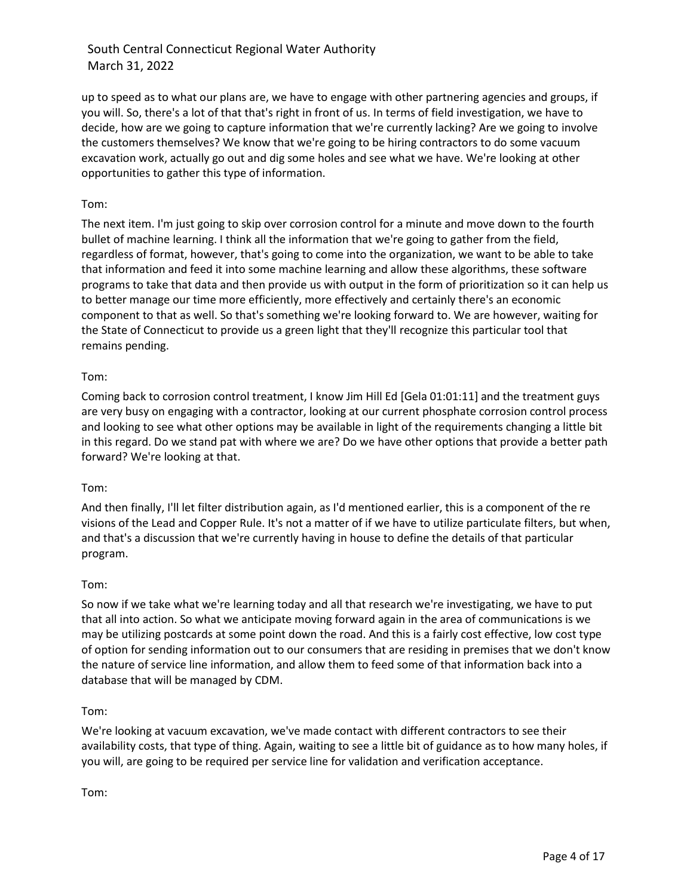up to speed as to what our plans are, we have to engage with other partnering agencies and groups, if you will. So, there's a lot of that that's right in front of us. In terms of field investigation, we have to decide, how are we going to capture information that we're currently lacking? Are we going to involve the customers themselves? We know that we're going to be hiring contractors to do some vacuum excavation work, actually go out and dig some holes and see what we have. We're looking at other opportunities to gather this type of information.

## Tom:

The next item. I'm just going to skip over corrosion control for a minute and move down to the fourth bullet of machine learning. I think all the information that we're going to gather from the field, regardless of format, however, that's going to come into the organization, we want to be able to take that information and feed it into some machine learning and allow these algorithms, these software programs to take that data and then provide us with output in the form of prioritization so it can help us to better manage our time more efficiently, more effectively and certainly there's an economic component to that as well. So that's something we're looking forward to. We are however, waiting for the State of Connecticut to provide us a green light that they'll recognize this particular tool that remains pending.

## Tom:

Coming back to corrosion control treatment, I know Jim Hill Ed [Gela 01:01:11] and the treatment guys are very busy on engaging with a contractor, looking at our current phosphate corrosion control process and looking to see what other options may be available in light of the requirements changing a little bit in this regard. Do we stand pat with where we are? Do we have other options that provide a better path forward? We're looking at that.

## Tom:

And then finally, I'll let filter distribution again, as I'd mentioned earlier, this is a component of the re visions of the Lead and Copper Rule. It's not a matter of if we have to utilize particulate filters, but when, and that's a discussion that we're currently having in house to define the details of that particular program.

## Tom:

So now if we take what we're learning today and all that research we're investigating, we have to put that all into action. So what we anticipate moving forward again in the area of communications is we may be utilizing postcards at some point down the road. And this is a fairly cost effective, low cost type of option for sending information out to our consumers that are residing in premises that we don't know the nature of service line information, and allow them to feed some of that information back into a database that will be managed by CDM.

### Tom:

We're looking at vacuum excavation, we've made contact with different contractors to see their availability costs, that type of thing. Again, waiting to see a little bit of guidance as to how many holes, if you will, are going to be required per service line for validation and verification acceptance.

Tom: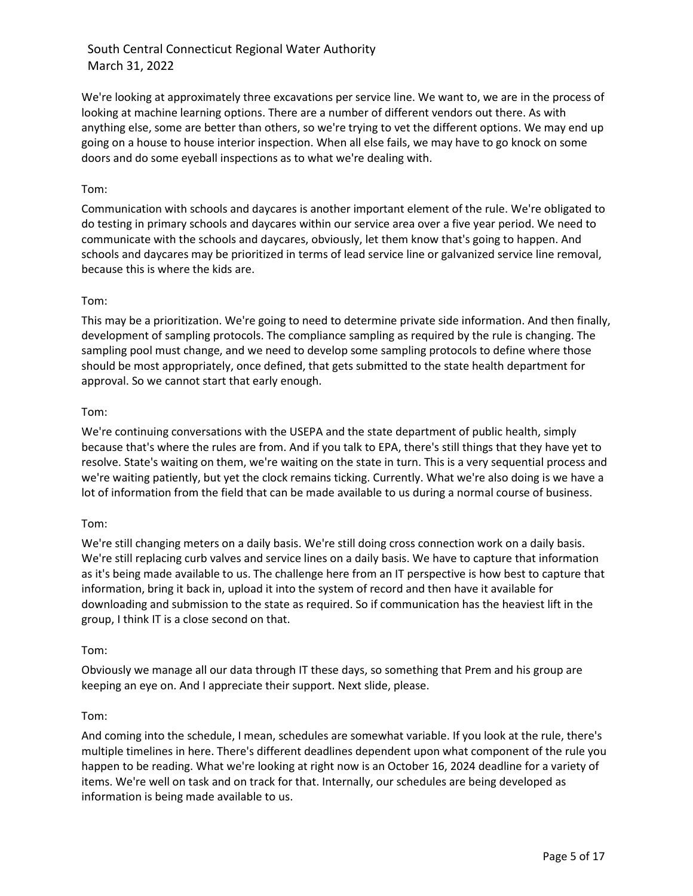We're looking at approximately three excavations per service line. We want to, we are in the process of looking at machine learning options. There are a number of different vendors out there. As with anything else, some are better than others, so we're trying to vet the different options. We may end up going on a house to house interior inspection. When all else fails, we may have to go knock on some doors and do some eyeball inspections as to what we're dealing with.

## Tom:

Communication with schools and daycares is another important element of the rule. We're obligated to do testing in primary schools and daycares within our service area over a five year period. We need to communicate with the schools and daycares, obviously, let them know that's going to happen. And schools and daycares may be prioritized in terms of lead service line or galvanized service line removal, because this is where the kids are.

## Tom:

This may be a prioritization. We're going to need to determine private side information. And then finally, development of sampling protocols. The compliance sampling as required by the rule is changing. The sampling pool must change, and we need to develop some sampling protocols to define where those should be most appropriately, once defined, that gets submitted to the state health department for approval. So we cannot start that early enough.

## Tom:

We're continuing conversations with the USEPA and the state department of public health, simply because that's where the rules are from. And if you talk to EPA, there's still things that they have yet to resolve. State's waiting on them, we're waiting on the state in turn. This is a very sequential process and we're waiting patiently, but yet the clock remains ticking. Currently. What we're also doing is we have a lot of information from the field that can be made available to us during a normal course of business.

## Tom:

We're still changing meters on a daily basis. We're still doing cross connection work on a daily basis. We're still replacing curb valves and service lines on a daily basis. We have to capture that information as it's being made available to us. The challenge here from an IT perspective is how best to capture that information, bring it back in, upload it into the system of record and then have it available for downloading and submission to the state as required. So if communication has the heaviest lift in the group, I think IT is a close second on that.

## Tom:

Obviously we manage all our data through IT these days, so something that Prem and his group are keeping an eye on. And I appreciate their support. Next slide, please.

## Tom:

And coming into the schedule, I mean, schedules are somewhat variable. If you look at the rule, there's multiple timelines in here. There's different deadlines dependent upon what component of the rule you happen to be reading. What we're looking at right now is an October 16, 2024 deadline for a variety of items. We're well on task and on track for that. Internally, our schedules are being developed as information is being made available to us.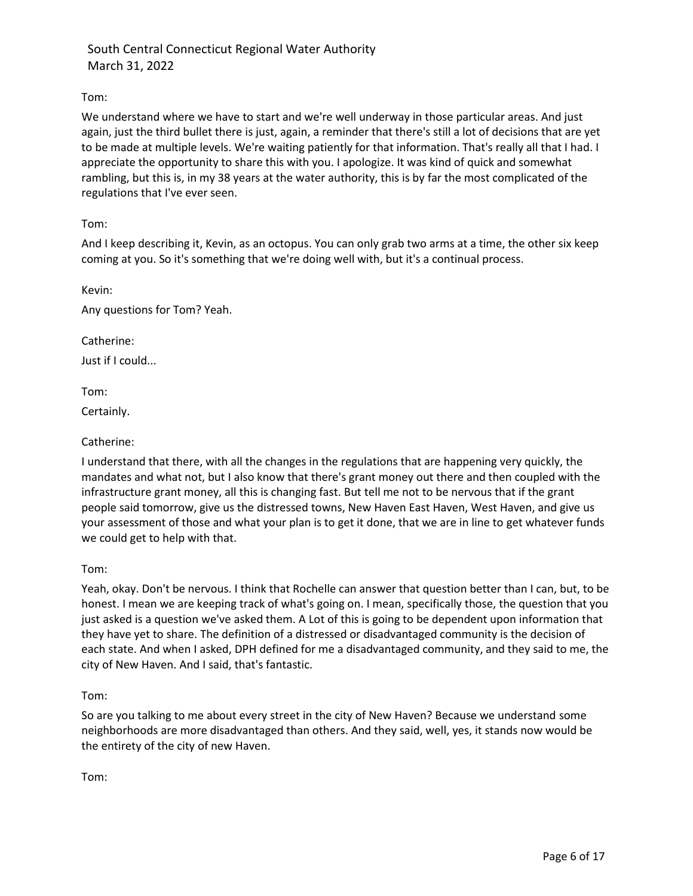## Tom:

We understand where we have to start and we're well underway in those particular areas. And just again, just the third bullet there is just, again, a reminder that there's still a lot of decisions that are yet to be made at multiple levels. We're waiting patiently for that information. That's really all that I had. I appreciate the opportunity to share this with you. I apologize. It was kind of quick and somewhat rambling, but this is, in my 38 years at the water authority, this is by far the most complicated of the regulations that I've ever seen.

## Tom:

And I keep describing it, Kevin, as an octopus. You can only grab two arms at a time, the other six keep coming at you. So it's something that we're doing well with, but it's a continual process.

Kevin:

Any questions for Tom? Yeah.

Catherine:

Just if I could...

Tom:

Certainly.

## Catherine:

I understand that there, with all the changes in the regulations that are happening very quickly, the mandates and what not, but I also know that there's grant money out there and then coupled with the infrastructure grant money, all this is changing fast. But tell me not to be nervous that if the grant people said tomorrow, give us the distressed towns, New Haven East Haven, West Haven, and give us your assessment of those and what your plan is to get it done, that we are in line to get whatever funds we could get to help with that.

Tom:

Yeah, okay. Don't be nervous. I think that Rochelle can answer that question better than I can, but, to be honest. I mean we are keeping track of what's going on. I mean, specifically those, the question that you just asked is a question we've asked them. A Lot of this is going to be dependent upon information that they have yet to share. The definition of a distressed or disadvantaged community is the decision of each state. And when I asked, DPH defined for me a disadvantaged community, and they said to me, the city of New Haven. And I said, that's fantastic.

### Tom:

So are you talking to me about every street in the city of New Haven? Because we understand some neighborhoods are more disadvantaged than others. And they said, well, yes, it stands now would be the entirety of the city of new Haven.

Tom: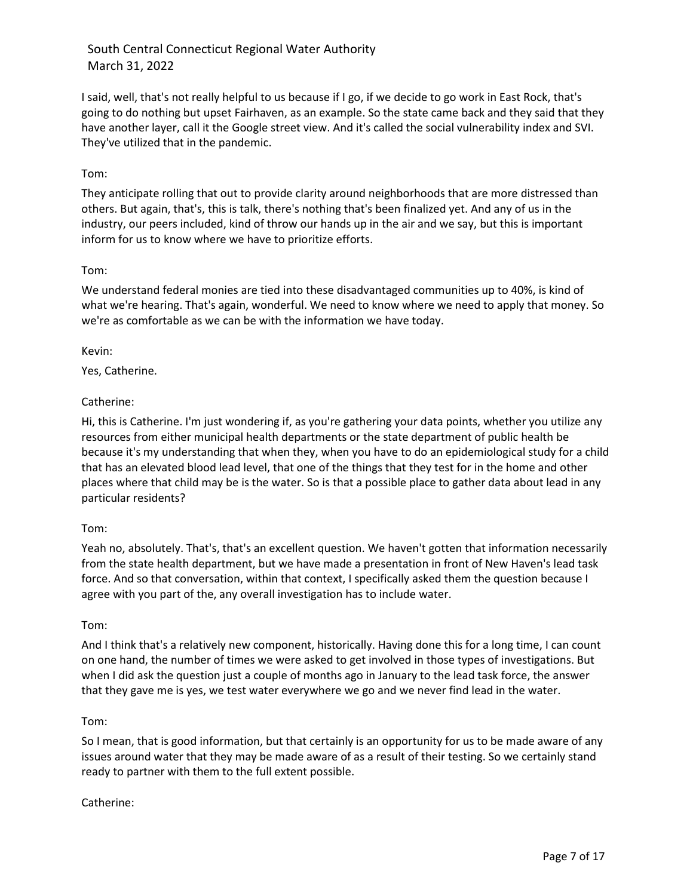I said, well, that's not really helpful to us because if I go, if we decide to go work in East Rock, that's going to do nothing but upset Fairhaven, as an example. So the state came back and they said that they have another layer, call it the Google street view. And it's called the social vulnerability index and SVI. They've utilized that in the pandemic.

## Tom:

They anticipate rolling that out to provide clarity around neighborhoods that are more distressed than others. But again, that's, this is talk, there's nothing that's been finalized yet. And any of us in the industry, our peers included, kind of throw our hands up in the air and we say, but this is important inform for us to know where we have to prioritize efforts.

## Tom:

We understand federal monies are tied into these disadvantaged communities up to 40%, is kind of what we're hearing. That's again, wonderful. We need to know where we need to apply that money. So we're as comfortable as we can be with the information we have today.

## Kevin:

Yes, Catherine.

## Catherine:

Hi, this is Catherine. I'm just wondering if, as you're gathering your data points, whether you utilize any resources from either municipal health departments or the state department of public health be because it's my understanding that when they, when you have to do an epidemiological study for a child that has an elevated blood lead level, that one of the things that they test for in the home and other places where that child may be is the water. So is that a possible place to gather data about lead in any particular residents?

## Tom:

Yeah no, absolutely. That's, that's an excellent question. We haven't gotten that information necessarily from the state health department, but we have made a presentation in front of New Haven's lead task force. And so that conversation, within that context, I specifically asked them the question because I agree with you part of the, any overall investigation has to include water.

## Tom:

And I think that's a relatively new component, historically. Having done this for a long time, I can count on one hand, the number of times we were asked to get involved in those types of investigations. But when I did ask the question just a couple of months ago in January to the lead task force, the answer that they gave me is yes, we test water everywhere we go and we never find lead in the water.

## Tom:

So I mean, that is good information, but that certainly is an opportunity for us to be made aware of any issues around water that they may be made aware of as a result of their testing. So we certainly stand ready to partner with them to the full extent possible.

## Catherine: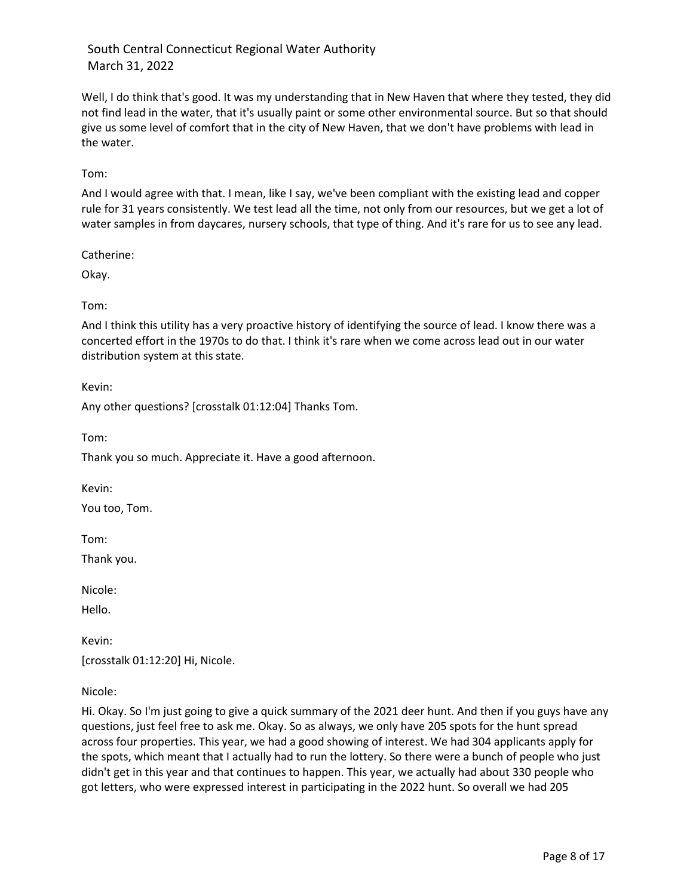Well, I do think that's good. It was my understanding that in New Haven that where they tested, they did not find lead in the water, that it's usually paint or some other environmental source. But so that should give us some level of comfort that in the city of New Haven, that we don't have problems with lead in the water.

Tom:

And I would agree with that. I mean, like I say, we've been compliant with the existing lead and copper rule for 31 years consistently. We test lead all the time, not only from our resources, but we get a lot of water samples in from daycares, nursery schools, that type of thing. And it's rare for us to see any lead.

Catherine:

Okay.

Tom:

And I think this utility has a very proactive history of identifying the source of lead. I know there was a concerted effort in the 1970s to do that. I think it's rare when we come across lead out in our water distribution system at this state.

Kevin:

Any other questions? [crosstalk 01:12:04] Thanks Tom.

Tom:

Thank you so much. Appreciate it. Have a good afternoon.

Kevin:

You too, Tom.

Tom:

Thank you.

Nicole:

Hello.

Kevin: [crosstalk 01:12:20] Hi, Nicole.

Nicole:

Hi. Okay. So I'm just going to give a quick summary of the 2021 deer hunt. And then if you guys have any questions, just feel free to ask me. Okay. So as always, we only have 205 spots for the hunt spread across four properties. This year, we had a good showing of interest. We had 304 applicants apply for the spots, which meant that I actually had to run the lottery. So there were a bunch of people who just didn't get in this year and that continues to happen. This year, we actually had about 330 people who got letters, who were expressed interest in participating in the 2022 hunt. So overall we had 205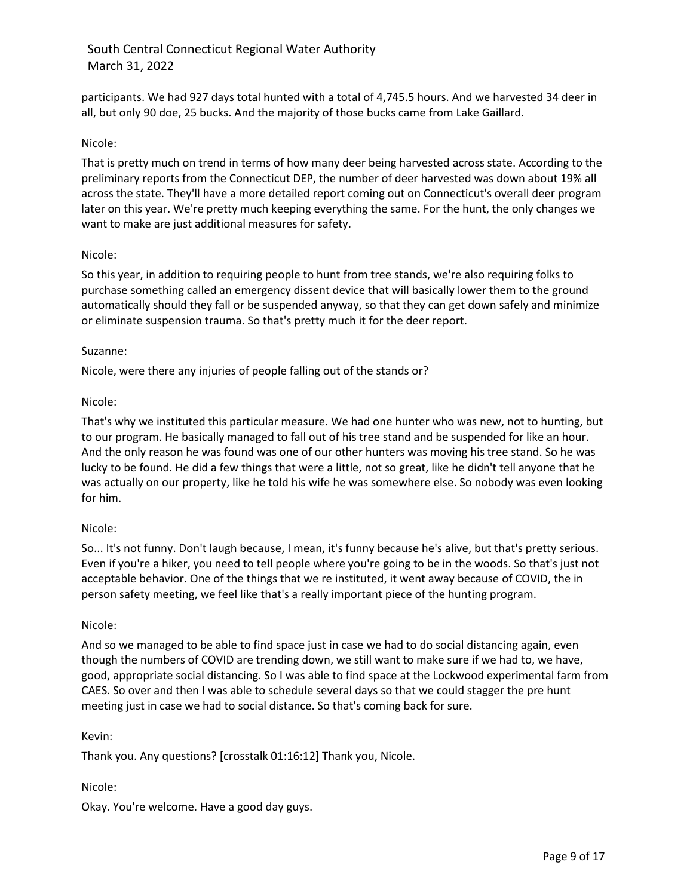participants. We had 927 days total hunted with a total of 4,745.5 hours. And we harvested 34 deer in all, but only 90 doe, 25 bucks. And the majority of those bucks came from Lake Gaillard.

## Nicole:

That is pretty much on trend in terms of how many deer being harvested across state. According to the preliminary reports from the Connecticut DEP, the number of deer harvested was down about 19% all across the state. They'll have a more detailed report coming out on Connecticut's overall deer program later on this year. We're pretty much keeping everything the same. For the hunt, the only changes we want to make are just additional measures for safety.

### Nicole:

So this year, in addition to requiring people to hunt from tree stands, we're also requiring folks to purchase something called an emergency dissent device that will basically lower them to the ground automatically should they fall or be suspended anyway, so that they can get down safely and minimize or eliminate suspension trauma. So that's pretty much it for the deer report.

### Suzanne:

Nicole, were there any injuries of people falling out of the stands or?

### Nicole:

That's why we instituted this particular measure. We had one hunter who was new, not to hunting, but to our program. He basically managed to fall out of his tree stand and be suspended for like an hour. And the only reason he was found was one of our other hunters was moving his tree stand. So he was lucky to be found. He did a few things that were a little, not so great, like he didn't tell anyone that he was actually on our property, like he told his wife he was somewhere else. So nobody was even looking for him.

### Nicole:

So... It's not funny. Don't laugh because, I mean, it's funny because he's alive, but that's pretty serious. Even if you're a hiker, you need to tell people where you're going to be in the woods. So that's just not acceptable behavior. One of the things that we re instituted, it went away because of COVID, the in person safety meeting, we feel like that's a really important piece of the hunting program.

### Nicole:

And so we managed to be able to find space just in case we had to do social distancing again, even though the numbers of COVID are trending down, we still want to make sure if we had to, we have, good, appropriate social distancing. So I was able to find space at the Lockwood experimental farm from CAES. So over and then I was able to schedule several days so that we could stagger the pre hunt meeting just in case we had to social distance. So that's coming back for sure.

### Kevin:

Thank you. Any questions? [crosstalk 01:16:12] Thank you, Nicole.

## Nicole:

Okay. You're welcome. Have a good day guys.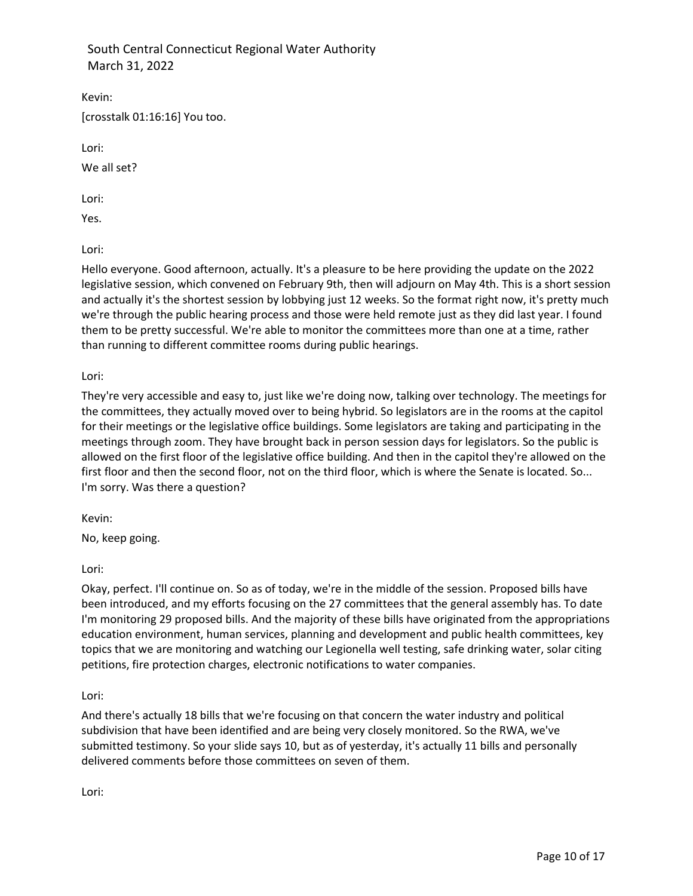Kevin:

[crosstalk 01:16:16] You too.

Lori:

We all set?

Lori:

Yes.

Lori:

Hello everyone. Good afternoon, actually. It's a pleasure to be here providing the update on the 2022 legislative session, which convened on February 9th, then will adjourn on May 4th. This is a short session and actually it's the shortest session by lobbying just 12 weeks. So the format right now, it's pretty much we're through the public hearing process and those were held remote just as they did last year. I found them to be pretty successful. We're able to monitor the committees more than one at a time, rather than running to different committee rooms during public hearings.

Lori:

They're very accessible and easy to, just like we're doing now, talking over technology. The meetings for the committees, they actually moved over to being hybrid. So legislators are in the rooms at the capitol for their meetings or the legislative office buildings. Some legislators are taking and participating in the meetings through zoom. They have brought back in person session days for legislators. So the public is allowed on the first floor of the legislative office building. And then in the capitol they're allowed on the first floor and then the second floor, not on the third floor, which is where the Senate is located. So... I'm sorry. Was there a question?

Kevin:

No, keep going.

Lori:

Okay, perfect. I'll continue on. So as of today, we're in the middle of the session. Proposed bills have been introduced, and my efforts focusing on the 27 committees that the general assembly has. To date I'm monitoring 29 proposed bills. And the majority of these bills have originated from the appropriations education environment, human services, planning and development and public health committees, key topics that we are monitoring and watching our Legionella well testing, safe drinking water, solar citing petitions, fire protection charges, electronic notifications to water companies.

Lori:

And there's actually 18 bills that we're focusing on that concern the water industry and political subdivision that have been identified and are being very closely monitored. So the RWA, we've submitted testimony. So your slide says 10, but as of yesterday, it's actually 11 bills and personally delivered comments before those committees on seven of them.

Lori: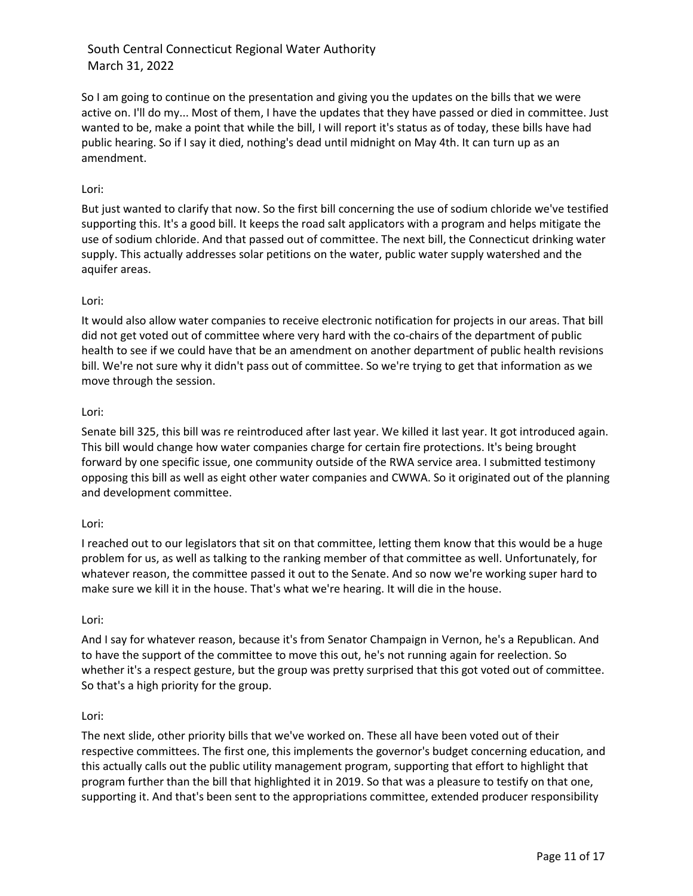So I am going to continue on the presentation and giving you the updates on the bills that we were active on. I'll do my... Most of them, I have the updates that they have passed or died in committee. Just wanted to be, make a point that while the bill, I will report it's status as of today, these bills have had public hearing. So if I say it died, nothing's dead until midnight on May 4th. It can turn up as an amendment.

## Lori:

But just wanted to clarify that now. So the first bill concerning the use of sodium chloride we've testified supporting this. It's a good bill. It keeps the road salt applicators with a program and helps mitigate the use of sodium chloride. And that passed out of committee. The next bill, the Connecticut drinking water supply. This actually addresses solar petitions on the water, public water supply watershed and the aquifer areas.

## Lori:

It would also allow water companies to receive electronic notification for projects in our areas. That bill did not get voted out of committee where very hard with the co-chairs of the department of public health to see if we could have that be an amendment on another department of public health revisions bill. We're not sure why it didn't pass out of committee. So we're trying to get that information as we move through the session.

## Lori:

Senate bill 325, this bill was re reintroduced after last year. We killed it last year. It got introduced again. This bill would change how water companies charge for certain fire protections. It's being brought forward by one specific issue, one community outside of the RWA service area. I submitted testimony opposing this bill as well as eight other water companies and CWWA. So it originated out of the planning and development committee.

## Lori:

I reached out to our legislators that sit on that committee, letting them know that this would be a huge problem for us, as well as talking to the ranking member of that committee as well. Unfortunately, for whatever reason, the committee passed it out to the Senate. And so now we're working super hard to make sure we kill it in the house. That's what we're hearing. It will die in the house.

## Lori:

And I say for whatever reason, because it's from Senator Champaign in Vernon, he's a Republican. And to have the support of the committee to move this out, he's not running again for reelection. So whether it's a respect gesture, but the group was pretty surprised that this got voted out of committee. So that's a high priority for the group.

## Lori:

The next slide, other priority bills that we've worked on. These all have been voted out of their respective committees. The first one, this implements the governor's budget concerning education, and this actually calls out the public utility management program, supporting that effort to highlight that program further than the bill that highlighted it in 2019. So that was a pleasure to testify on that one, supporting it. And that's been sent to the appropriations committee, extended producer responsibility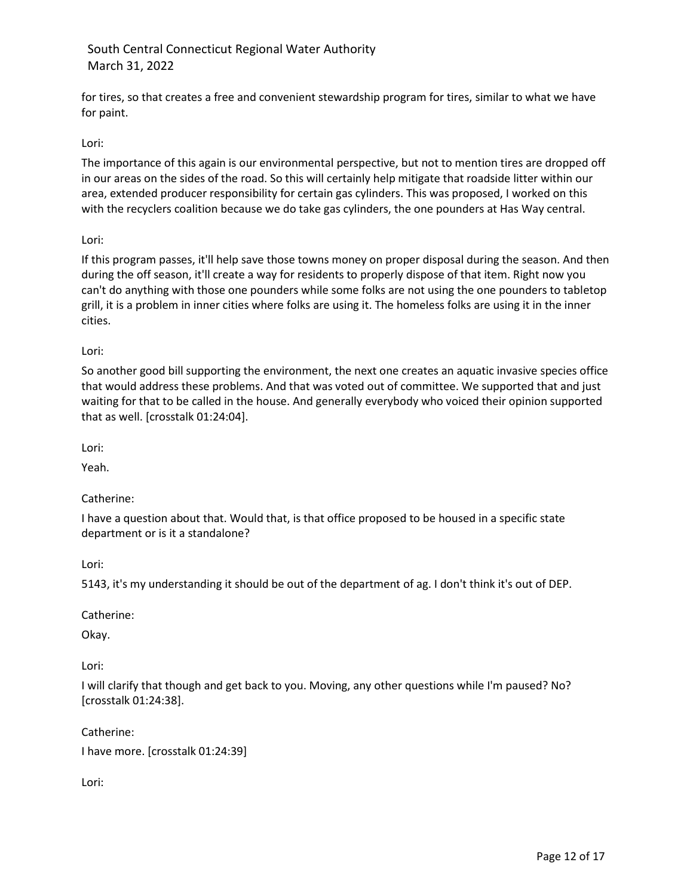for tires, so that creates a free and convenient stewardship program for tires, similar to what we have for paint.

# Lori:

The importance of this again is our environmental perspective, but not to mention tires are dropped off in our areas on the sides of the road. So this will certainly help mitigate that roadside litter within our area, extended producer responsibility for certain gas cylinders. This was proposed, I worked on this with the recyclers coalition because we do take gas cylinders, the one pounders at Has Way central.

## Lori:

If this program passes, it'll help save those towns money on proper disposal during the season. And then during the off season, it'll create a way for residents to properly dispose of that item. Right now you can't do anything with those one pounders while some folks are not using the one pounders to tabletop grill, it is a problem in inner cities where folks are using it. The homeless folks are using it in the inner cities.

## Lori:

So another good bill supporting the environment, the next one creates an aquatic invasive species office that would address these problems. And that was voted out of committee. We supported that and just waiting for that to be called in the house. And generally everybody who voiced their opinion supported that as well. [crosstalk 01:24:04].

Lori:

Yeah.

Catherine:

I have a question about that. Would that, is that office proposed to be housed in a specific state department or is it a standalone?

Lori:

5143, it's my understanding it should be out of the department of ag. I don't think it's out of DEP.

Catherine:

Okay.

Lori:

I will clarify that though and get back to you. Moving, any other questions while I'm paused? No? [crosstalk 01:24:38].

Catherine:

I have more. [crosstalk 01:24:39]

Lori: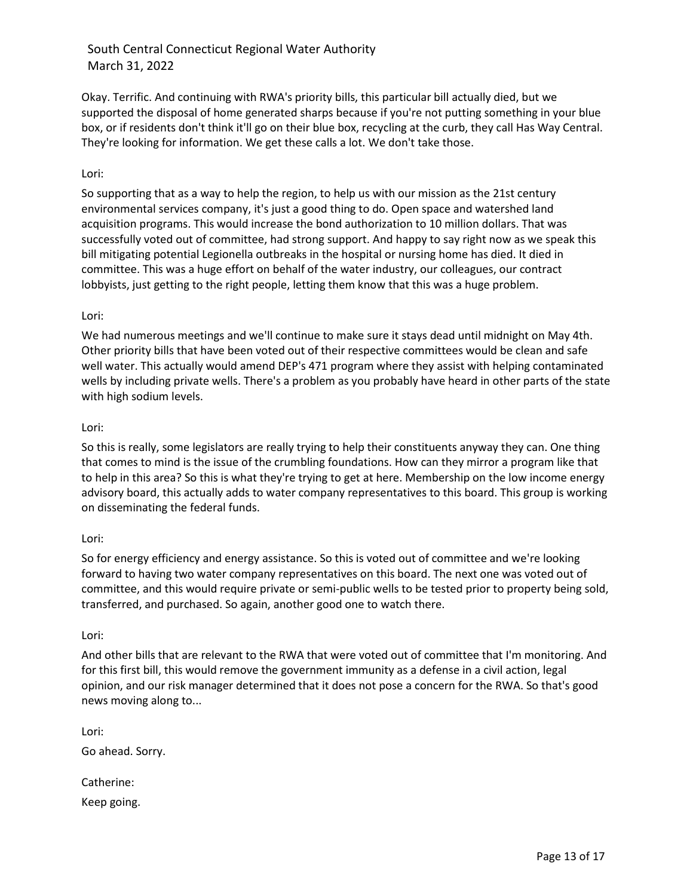Okay. Terrific. And continuing with RWA's priority bills, this particular bill actually died, but we supported the disposal of home generated sharps because if you're not putting something in your blue box, or if residents don't think it'll go on their blue box, recycling at the curb, they call Has Way Central. They're looking for information. We get these calls a lot. We don't take those.

## Lori:

So supporting that as a way to help the region, to help us with our mission as the 21st century environmental services company, it's just a good thing to do. Open space and watershed land acquisition programs. This would increase the bond authorization to 10 million dollars. That was successfully voted out of committee, had strong support. And happy to say right now as we speak this bill mitigating potential Legionella outbreaks in the hospital or nursing home has died. It died in committee. This was a huge effort on behalf of the water industry, our colleagues, our contract lobbyists, just getting to the right people, letting them know that this was a huge problem.

## Lori:

We had numerous meetings and we'll continue to make sure it stays dead until midnight on May 4th. Other priority bills that have been voted out of their respective committees would be clean and safe well water. This actually would amend DEP's 471 program where they assist with helping contaminated wells by including private wells. There's a problem as you probably have heard in other parts of the state with high sodium levels.

## Lori:

So this is really, some legislators are really trying to help their constituents anyway they can. One thing that comes to mind is the issue of the crumbling foundations. How can they mirror a program like that to help in this area? So this is what they're trying to get at here. Membership on the low income energy advisory board, this actually adds to water company representatives to this board. This group is working on disseminating the federal funds.

## Lori:

So for energy efficiency and energy assistance. So this is voted out of committee and we're looking forward to having two water company representatives on this board. The next one was voted out of committee, and this would require private or semi-public wells to be tested prior to property being sold, transferred, and purchased. So again, another good one to watch there.

## Lori:

And other bills that are relevant to the RWA that were voted out of committee that I'm monitoring. And for this first bill, this would remove the government immunity as a defense in a civil action, legal opinion, and our risk manager determined that it does not pose a concern for the RWA. So that's good news moving along to...

Lori: Go ahead. Sorry. Catherine:

Keep going.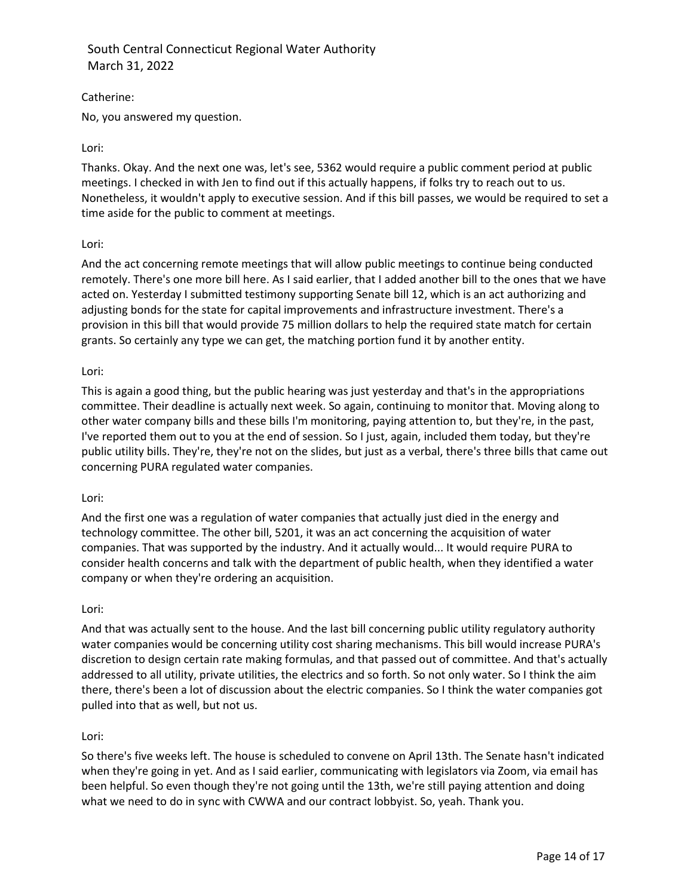Catherine:

No, you answered my question.

## Lori:

Thanks. Okay. And the next one was, let's see, 5362 would require a public comment period at public meetings. I checked in with Jen to find out if this actually happens, if folks try to reach out to us. Nonetheless, it wouldn't apply to executive session. And if this bill passes, we would be required to set a time aside for the public to comment at meetings.

## Lori:

And the act concerning remote meetings that will allow public meetings to continue being conducted remotely. There's one more bill here. As I said earlier, that I added another bill to the ones that we have acted on. Yesterday I submitted testimony supporting Senate bill 12, which is an act authorizing and adjusting bonds for the state for capital improvements and infrastructure investment. There's a provision in this bill that would provide 75 million dollars to help the required state match for certain grants. So certainly any type we can get, the matching portion fund it by another entity.

### Lori:

This is again a good thing, but the public hearing was just yesterday and that's in the appropriations committee. Their deadline is actually next week. So again, continuing to monitor that. Moving along to other water company bills and these bills I'm monitoring, paying attention to, but they're, in the past, I've reported them out to you at the end of session. So I just, again, included them today, but they're public utility bills. They're, they're not on the slides, but just as a verbal, there's three bills that came out concerning PURA regulated water companies.

## Lori:

And the first one was a regulation of water companies that actually just died in the energy and technology committee. The other bill, 5201, it was an act concerning the acquisition of water companies. That was supported by the industry. And it actually would... It would require PURA to consider health concerns and talk with the department of public health, when they identified a water company or when they're ordering an acquisition.

### Lori:

And that was actually sent to the house. And the last bill concerning public utility regulatory authority water companies would be concerning utility cost sharing mechanisms. This bill would increase PURA's discretion to design certain rate making formulas, and that passed out of committee. And that's actually addressed to all utility, private utilities, the electrics and so forth. So not only water. So I think the aim there, there's been a lot of discussion about the electric companies. So I think the water companies got pulled into that as well, but not us.

## Lori:

So there's five weeks left. The house is scheduled to convene on April 13th. The Senate hasn't indicated when they're going in yet. And as I said earlier, communicating with legislators via Zoom, via email has been helpful. So even though they're not going until the 13th, we're still paying attention and doing what we need to do in sync with CWWA and our contract lobbyist. So, yeah. Thank you.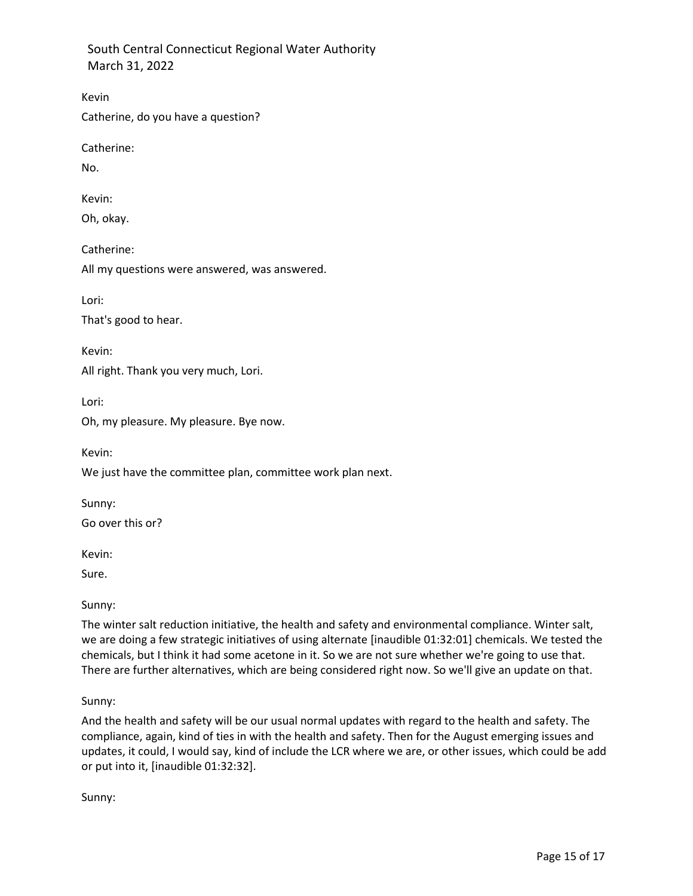Catherine, do you have a question?

Catherine:

No.

Kevin

Kevin:

Oh, okay.

Catherine: All my questions were answered, was answered.

Lori:

That's good to hear.

Kevin:

All right. Thank you very much, Lori.

Lori:

Oh, my pleasure. My pleasure. Bye now.

Kevin:

We just have the committee plan, committee work plan next.

Sunny:

Go over this or?

Kevin:

Sure.

Sunny:

The winter salt reduction initiative, the health and safety and environmental compliance. Winter salt, we are doing a few strategic initiatives of using alternate [inaudible 01:32:01] chemicals. We tested the chemicals, but I think it had some acetone in it. So we are not sure whether we're going to use that. There are further alternatives, which are being considered right now. So we'll give an update on that.

Sunny:

And the health and safety will be our usual normal updates with regard to the health and safety. The compliance, again, kind of ties in with the health and safety. Then for the August emerging issues and updates, it could, I would say, kind of include the LCR where we are, or other issues, which could be add or put into it, [inaudible 01:32:32].

Sunny: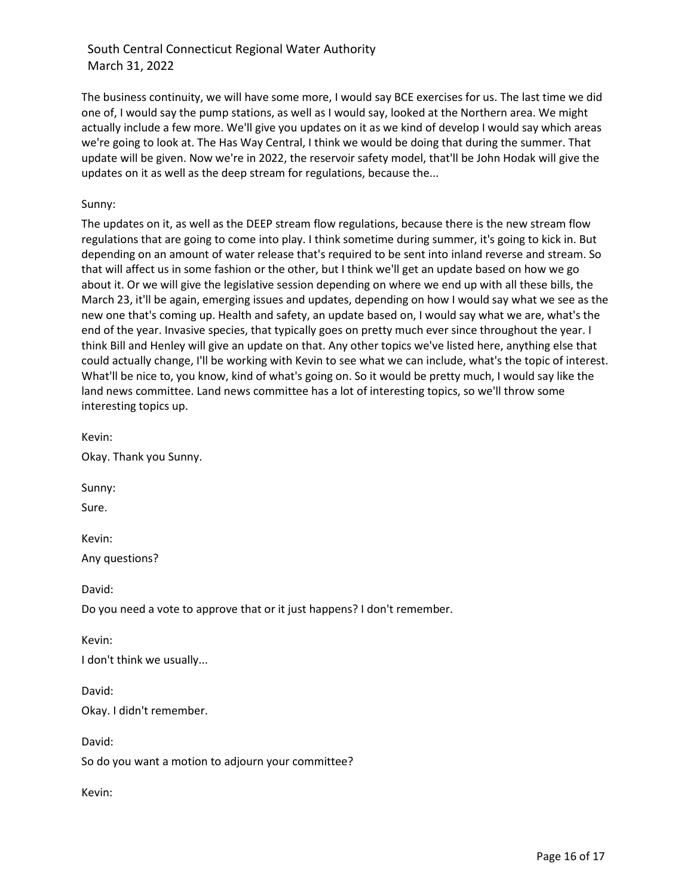The business continuity, we will have some more, I would say BCE exercises for us. The last time we did one of, I would say the pump stations, as well as I would say, looked at the Northern area. We might actually include a few more. We'll give you updates on it as we kind of develop I would say which areas we're going to look at. The Has Way Central, I think we would be doing that during the summer. That update will be given. Now we're in 2022, the reservoir safety model, that'll be John Hodak will give the updates on it as well as the deep stream for regulations, because the...

## Sunny:

The updates on it, as well as the DEEP stream flow regulations, because there is the new stream flow regulations that are going to come into play. I think sometime during summer, it's going to kick in. But depending on an amount of water release that's required to be sent into inland reverse and stream. So that will affect us in some fashion or the other, but I think we'll get an update based on how we go about it. Or we will give the legislative session depending on where we end up with all these bills, the March 23, it'll be again, emerging issues and updates, depending on how I would say what we see as the new one that's coming up. Health and safety, an update based on, I would say what we are, what's the end of the year. Invasive species, that typically goes on pretty much ever since throughout the year. I think Bill and Henley will give an update on that. Any other topics we've listed here, anything else that could actually change, I'll be working with Kevin to see what we can include, what's the topic of interest. What'll be nice to, you know, kind of what's going on. So it would be pretty much, I would say like the land news committee. Land news committee has a lot of interesting topics, so we'll throw some interesting topics up.

Kevin:

Okay. Thank you Sunny.

Sunny:

Sure.

Kevin:

Any questions?

David:

Do you need a vote to approve that or it just happens? I don't remember.

Kevin:

I don't think we usually...

David:

Okay. I didn't remember.

David:

So do you want a motion to adjourn your committee?

Kevin: